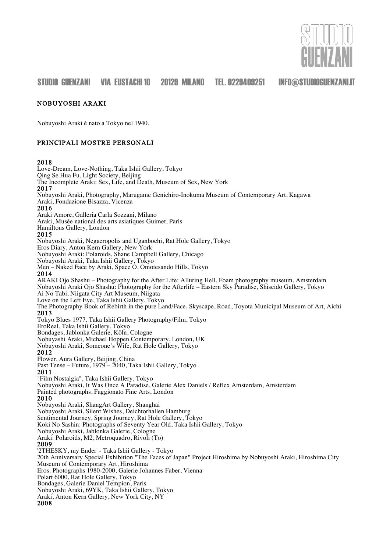

#### NOBUYOSHI ARAKI

Nobuyoshi Araki è nato a Tokyo nel 1940.

#### PRINCIPALI MOSTRE PERSONALI

#### 2018

Love-Dream, Love-Nothing, Taka Ishii Gallery, Tokyo Qing Se Hua Fu, Light Society, Beijing The Incomplete Araki: Sex, Life, and Death, Museum of Sex, New York 2017 Nobuyoshi Araki, Photography, Marugame Genichiro-Inokuma Museum of Contemporary Art, Kagawa Araki, Fondazione Bisazza, Vicenza 2016 Araki Amore, Galleria Carla Sozzani, Milano Araki, Musée national des arts asiatiques Guimet, Paris Hamiltons Gallery, London 2015 Nobuyoshi Araki, Negaeropolis and Uganbochi, Rat Hole Gallery, Tokyo Eros Diary, Anton Kern Gallery, New York Nobuyoshi Araki: Polaroids, Shane Campbell Gallery, Chicago Nobuyoshi Araki, Taka Ishii Gallery, Tokyo Men – Naked Face by Araki, Space O, Omotesando Hills, Tokyo 2014 ARAKI Ojo Shashu – Photography for the After Life: Alluring Hell, Foam photography museum, Amsterdam Nobuyoshi Araki Ojo Shashu: Photography for the Afterlife – Eastern Sky Paradise, Shiseido Gallery, Tokyo Ai No Tabi, Niigata City Art Museum, Niigata Love on the Left Eye, Taka Ishii Gallery, Tokyo The Photography Book of Rebirth in the pure Land/Face, Skyscape, Road, Toyota Municipal Museum of Art, Aichi 2013 Tokyo Blues 1977, Taka Ishii Gallery Photography/Film, Tokyo EroŘeal, Taka Ishii Gallery, Tokyo Bondages, Jablonka Galerie, Köln, Cologne Nobuyashi Araki, Michael Hoppen Contemporary, London, UK Nobuyoshi Araki, Someone's Wife, Rat Hole Gallery, Tokyo 2012 Flower, Aura Gallery, Beijing, China Past Tense – Future, 1979 – 2040, Taka Ishii Gallery, Tokyo 2011 "Film Nostalgia", Taka Ishii Gallery, Tokyo Nobuyoshi Araki, It Was Once A Paradise, Galerie Alex Daniels / Reflex Amsterdam, Amsterdam Painted photographs, Faggionato Fine Arts, London 2010 Nobuyoshi Araki, ShangArt Gallery, Shanghai Nobuyoshi Araki, Silent Wishes, Deichtorhallen Hamburg Sentimental Journey, Spring Journey, Rat Hole Gallery, Tokyo Koki No Sashin: Photographs of Seventy Year Old, Taka Ishii Gallery, Tokyo Nobuyoshi Araki, Jablonka Galerie, Cologne Araki: Polaroids, M2, Metroquadro, Rivoli (To) 2009 '2THESKY, my Ender' - Taka Ishii Gallery - Tokyo 20th Anniversary Special Exhibition "The Faces of Japan" Project Hiroshima by Nobuyoshi Araki, Hiroshima City Museum of Contemporary Art, Hiroshima Eros. Photographs 1980-2000, Galerie Johannes Faber, Vienna Polart 6000, Rat Hole Gallery, Tokyo Bondages, Galerie Daniel Tempion, Paris Nobuyoshi Araki, 69YK, Taka Ishii Gallery, Tokyo Araki, Anton Kern Gallery, New York City, NY 2008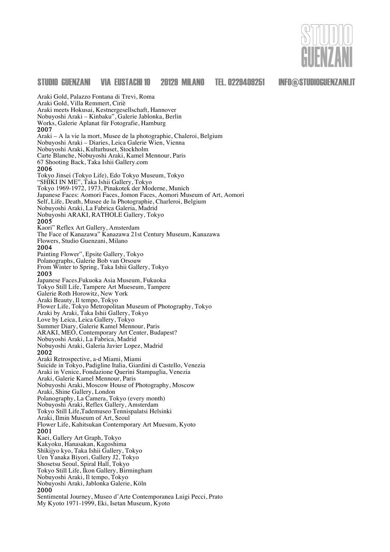

2007

2006

2005

2004

2003

2002

2001

2000

Araki Gold, Palazzo Fontana di Trevi, Roma Araki Gold, Villa Remmert, Ciriè Araki meets Hokusai, Kestnergesellschaft, Hannover Nobuyoshi Araki – Kinbaku", Galerie Jablonka, Berlin Works, Galerie Aplanat für Fotografie, Hamburg Araki – A la vie la mort, Musee de la photographie, Chaleroi, Belgium Nobuyoshi Araki – Diaries, Leica Galerie Wien, Vienna Nobuyoshi Araki, Kulturhuset, Stockholm Carte Blanche, Nobuyoshi Araki, Kamel Mennour, Paris 67 Shooting Back, Taka Ishii Gallery.com Tokyo Jinsei (Tokyo Life), Edo Tokyo Museum, Tokyo Tokyo 1969-1972, 1973, Pinakotek der Moderne, Munich Japanese Faces: Aomori Faces, Jomon Faces, Aomori Museum of Art, Aomori Self, Life, Death, Musee de la Photographie, Charleroi, Belgium Nobuyoshi Araki, La Fabrica Galeria, Madrid Nobuyoshi ARAKI, RATHOLE Gallery, Tokyo Kaori" Reflex Art Gallery, Amsterdam The Face of Kanazawa" Kanazawa 21st Century Museum, Kanazawa Flowers, Studio Guenzani, Milano Painting Flower", Epsite Gallery, Tokyo Polanographs, Galerie Bob van Orsouw From Winter to Spring, Taka Ishii Gallery, Tokyo Japanese Faces,Fukuoka Asia Museum, Fukuoka Tokyo Still Life, Tampere Art Mueseum, Tampere Galerie Roth Horowitz, New York Araki Beauty, Il tempo, Tokyo Flower Life, Tokyo Metropolitan Museum of Photography, Tokyo Araki by Araki, Taka Ishii Gallery, Tokyo Love by Leica, Leica Gallery, Tokyo Summer Diary, Galerie Kamel Mennour, Paris ARAKI, MEO, Contemporary Art Center, Budapest? Nobuyoshi Araki, La Fabrica, Madrid Nobuyoshi Araki, Galeria Javier Lopez, Madrid Araki Retrospective, a-d Miami, Miami Suicide in Tokyo, Padigline Italia, Giardini di Castello, Venezia Araki in Venice, Fondazione Querini Stampaglia, Venezia Araki, Galerie Kamel Mennour, Paris Nobuyoshi Araki, Moscow House of Photography, Moscow Araki, Shine Gallery, London Polanography, La Camera, Tokyo (every month) Nobuyoshi Araki, Reflex Gallery, Amsterdam Tokyo Still Life,Tademuseo Tennispalatsi Helsinki Araki, Ilmin Museum of Art, Seoul Flower Life, Kahitsukan Contemporary Art Muesum, Kyoto Kaei, Gallery Art Graph, Tokyo Kakyoku, Hanasakan, Kagoshima Shikijyo kyo, Taka Ishii Gallery, Tokyo Uen Yanaka Biyori, Gallery J2, Tokyo Shosetsu Seoul, Spiral Hall, Tokyo

Sentimental Journey, Museo d'Arte Contemporanea Luigi Pecci, Prato My Kyoto 1971-1999, Eki, Isetan Museum, Kyoto

Tokyo Still Life, Ikon Gallery, Birmingham

Nobuyoshi Araki, Il tempo, Tokyo Nobuyoshi Araki, Jablonka Galerie, Köln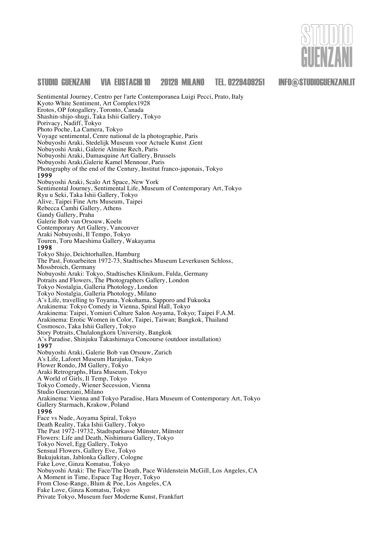

Sentimental Journey, Centro per l'arte Contemporanea Luigi Pecci, Prato, Italy Kyoto White Sentiment, Art Complex1928 Erotos, OP fotogallery, Toronto, Canada Shashin-shijo-shugi, Taka Ishii Gallery, Tokyo Porivacy, Nadiff, Tokyo Photo Poche, La Camera, Tokyo Voyage sentimental, Cenre national de la photographie, Paris Nobuyoshi Araki, Stedelijk Museum voor Actuele Kunst ,Gent Nobuyoshi Araki, Galerie Almine Rech, Paris Nobuyoshi Araki, Damasquine Art Gallery, Brussels Nobuyoshi Araki,Galerie Kamel Mennour, Paris Photography of the end of the Century, Institut franco-japonais, Tokyo 1999 Nobuyoshi Araki, Scalo Art Space, New York Sentimental Journey, Sentimental Life, Museum of Contemporary Art, Tokyo Ryu u Seki, Taka Ishii Gallery, Tokyo Alive, Taipei Fine Arts Museum, Taipei Rebecca Camhi Gallery, Athens Gandy Gallery, Praha Galerie Bob van Orsouw, Koeln Contemporary Art Gallery, Vancouver Araki Nobuyoshi, Il Tempo, Tokyo Touren, Toru Maeshima Gallery, Wakayama 1998 Tokyo Shijo, Deichtorhallen, Hamburg The Past, Fotoarbeiten 1972-73, Stadtisches Museum Leverkusen Schloss, Mossbroich, Germany Nobuyoshi Araki: Tokyo, Stadtisches Klinikum, Fulda, Germany Potraits and Flowers, The Photographers Gallery, London Tokyo Nostalgia, Galleria Photology, London Tokyo Nostalgia, Galleria Photology, Milano A's Life, travelling to Toyama, Yokohama, Sapporo and Fukuoka Arakinema: Tokyo Comedy in Vienna, Spiral Hall, Tokyo Arakinema: Taipei, Yomiuri Culture Salon Aoyama, Tokyo; Taipei F.A.M. Arakinema: Erotic Women in Color, Taipei, Taiwan; Bangkok, Thailand Cosmosco, Taka Ishii Gallery, Tokyo Story Potraits, Chulalongkorn University, Bangkok A's Paradise, Shinjuku Takashimaya Concourse (outdoor installation) 1997 Nobuyoshi Araki, Galerie Bob van Orsouw, Zurich A's Life, Laforet Museum Harajuku, Tokyo Flower Rondo, JM Gallery, Tokyo Araki Retrographs, Hara Museum, Tokyo A World of Girls, Il Temp, Tokyo Tokyo Comedy, Wiener Secession, Vienna Studio Guenzani, Milano Arakinema: Vienna and Tokyo Paradise, Hara Museum of Contemporary Art, Tokyo Gallery Starmach, Krakow, Poland 1996 Face vs Nude, Aoyama Spiral, Tokyo Death Reality, Taka Ishii Gallery, Tokyo The Past 1972-19732, Stadtsparkasse Münster, Münster Flowers: Life and Death, Nishimura Gallery, Tokyo Tokyo Novel, Egg Gallery, Tokyo Sensual Flowers, Gallery Eve, Tokyo Bukujukitan, Jablonka Gallery, Cologne Fake Love, Ginza Komatsu, Tokyo Nobuyoshi Araki: The Face/The Death, Pace Wildenstein McGill, Los Angeles, CA A Moment in Time, Espace Tag Hoyer, Tokyo From Close-Range, Blum & Poe, Los Angeles, CA Fake Love, Ginza Komatsu, Tokyo Private Tokyo, Museum fuer Moderne Kunst, Frankfurt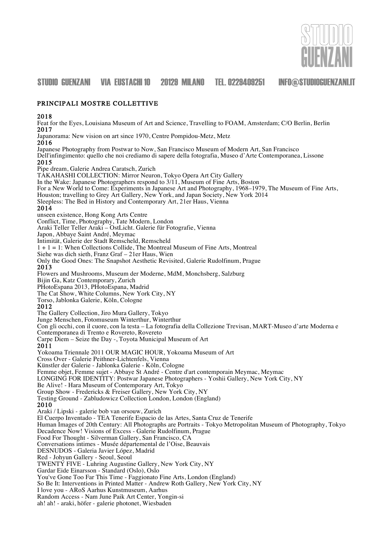

### PRINCIPALI MOSTRE COLLETTIVE

#### 2018

Feat for the Eyes, Louisiana Museum of Art and Science, Travelling to FOAM, Amsterdam; C/O Berlin, Berlin 2017 Japanorama: New vision on art since 1970, Centre Pompidou-Metz, Metz Japanese Photography from Postwar to Now, San Francisco Museum of Modern Art, San Francisco

Dell'infingimento: quello che noi crediamo di sapere della fotografia, Museo d'Arte Contemporanea, Lissone Pipe dream, Galerie Andrea Caratsch, Zurich TAKAHASHI COLLECTION: Mirror Neuron, Tokyo Opera Art City Gallery In the Wake: Japanese Photographers respond to 3/11, Museum of Fine Arts, Boston For a New World to Come: Experiments in Japanese Art and Photography, 1968–1979, The Museum of Fine Arts, Houston; travelling to Grey Art Gallery, New York, and Japan Society, New York 2014 Sleepless: The Bed in History and Contemporary Art, 21er Haus, Vienna 2014 unseen existence, Hong Kong Arts Centre Conflict, Time, Photography, Tate Modern, London Araki Teller Teller Araki – OstLicht. Galerie für Fotografie, Vienna Japon, Abbaye Saint André, Meymac Intimität, Galerie der Stadt Remscheld, Remscheld 1 + 1 = 1: When Collections Collide, The Montreal Museum of Fine Arts, Montreal Siehe was dich sieth, Franz Graf – 21er Haus, Wien Only the Good Ones: The Snapshot Aesthetic Revisited, Galerie Rudolfinum, Prague 2013 Flowers and Mushrooms, Museum der Moderne, MdM, Monchsberg, Salzburg Bijin Ga, Katz Contemporary, Zurich PHotoEspana 2013, PHotoEspana, Madrid The Cat Show, White Columns, New York City, NY Torso, Jablonka Galerie, Köln, Cologne 2012 The Gallery Collection, Jiro Mura Gallery, Tokyo Junge Menschen, Fotomuseum Winterthur, Winterthur Con gli occhi, con il cuore, con la testa – La fotografia della Collezione Trevisan, MART-Museo d'arte Moderna e Contemporanea di Trento e Rovereto, Rovereto Carpe Diem – Seize the Day -, Toyota Municipal Museum of Art 2011 Yokoama Triennale 2011 OUR MAGIC HOUR, Yokoama Museum of Art Cross Over - Galerie Peithner-Lichtenfels, Vienna Künstler der Galerie - Jablonka Galerie - Köln, Cologne Femme objet, Femme sujet - Abbaye St André - Centre d'art contemporain Meymac, Meymac LONGING FOR IDENTITY: Postwar Japanese Photographers - Yoshii Gallery, New York City, NY Be Alive! - Hara Museum of Contemporary Art, Tokyo Group Show - Fredericks & Freiser Gallery, New York City, NY Testing Ground - Zabludowicz Collection London, London (England) 2010 Araki / Lipski - galerie bob van orsouw, Zurich El Cuerpo Inventado - TEA Tenerife Espacio de las Artes, Santa Cruz de Tenerife Human Images of 20th Century: All Photographs are Portraits - Tokyo Metropolitan Museum of Photography, Tokyo Decadence Now! Visions of Excess - Galerie Rudolfinum, Prague Food For Thought - Silverman Gallery, San Francisco, CA Conversations intimes - Musée départemental de l'Oise, Beauvais DESNUDOS - Galeria Javier López, Madrid Red - Johyun Gallery - Seoul, Seoul TWENTY FIVE - Luhring Augustine Gallery, New York City, NY Gardar Eide Einarsson - Standard (Oslo), Oslo You've Gone Too Far This Time - Faggionato Fine Arts, London (England) So Be It: Interventions in Printed Matter - Andrew Roth Gallery, New York City, NY I love you - ARoS Aarhus Kunstmuseum, Aarhus Random Access - Nam June Paik Art Center, Yongin-si ah! ah! - araki, höfer - galerie photonet, Wiesbaden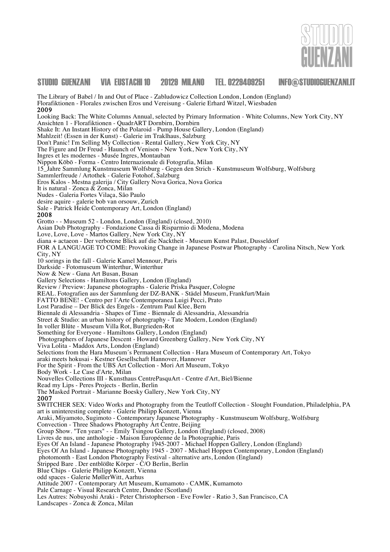

The Library of Babel / In and Out of Place - Zabludowicz Collection London, London (England) Florafiktionen - Florales zwischen Eros und Vereisung - Galerie Erhard Witzel, Wiesbaden 2009 Looking Back: The White Columns Annual, selected by Primary Information - White Columns, New York City, NY Ansichten 1 - Florafiktionen - QuadrART Dornbirn, Dornbirn Shake It: An Instant History of the Polaroid - Pump House Gallery, London (England) Mahlzeit! (Essen in der Kunst) - Galerie im Traklhaus, Salzburg Don't Panic! I'm Selling My Collection - Rental Gallery, New York City, NY The Figure and Dr Freud - Haunch of Venison - New York, New York City, NY Ingres et les modernes - Musée Ingres, Montauban Nippon Kōbō - Forma - Centro Internazionale di Fotografia, Milan 15\_Jahre Sammlung Kunstmuseum Wolfsburg - Gegen den Strich - Kunstmuseum Wolfsburg, Wolfsburg Sammlerfreude / Artothek - Galerie Fotohof, Salzburg Eros Kalos - Mestna galerija / City Gallery Nova Gorica, Nova Gorica It is natural - Zonca  $\&$  Zonca, Milan Nudes - Galeria Fortes Vilaça, São Paulo desire aquire - galerie bob van orsouw, Zurich Sale - Patrick Heide Contemporary Art, London (England) 2008 Grotto - - Museum 52 - London, London (England) (closed, 2010) Asian Dub Photography - Fondazione Cassa di Risparmio di Modena, Modena Love, Love, Love - Martos Gallery, New York City, NY diana + actaeon - Der verbotene Blick auf die Nacktheit - Museum Kunst Palast, Dusseldorf FOR A LANGUAGE TO COME: Provoking Change in Japanese Postwar Photography - Carolina Nitsch, New York City, NY 10 sorings in the fall - Galerie Kamel Mennour, Paris Darkside - Fotomuseum Winterthur, Winterthur Now & New - Gana Art Busan, Busan Gallery Selections - Hamiltons Gallery, London (England) Review / Preview: Japanese photographs - Galerie Priska Pasquer, Cologne REAL. Fotografien aus der Sammlung der DZ-BANK - Städel Museum, Frankfurt/Main FATTO BENE! - Centro per l´Arte Contemporanea Luigi Pecci, Prato Lost Paradise – Der Blick des Engels - Zentrum Paul Klee, Bern Biennale di Alessandria - Shapes of Time - Biennale di Alessandria, Alessandria Street & Studio: an urban history of photography - Tate Modern, London (England) In voller Blüte - Museum Villa Rot, Burgrieden-Rot Something for Everyone - Hamiltons Gallery, London (England) Photographers of Japanese Descent - Howard Greenberg Gallery, New York City, NY Viva Lolita - Maddox Arts, London (England) Selections from the Hara Museum´s Permanent Collection - Hara Museum of Contemporary Art, Tokyo araki meets hokusai - Kestner Gesellschaft Hannover, Hannover For the Spirit - From the UBS Art Collection - Mori Art Museum, Tokyo Body Work - Le Case d'Arte, Milan Nouvelles Collections III - Kunsthaus CentrePasquArt - Centre d'Art, Biel/Bienne Read my Lips - Peres Projects - Berlin, Berlin The Masked Portrait - Marianne Boesky Gallery, New York City, NY 2007 SWITCHER SEX: Video Works and Photography from the Teutloff Collection - Slought Foundation, Philadelphia, PA art is uninteresting complete - Galerie Philipp Konzett, Vienna Araki, Miyamoto, Sugimoto - Contemporary Japanese Photography - Kunstmuseum Wolfsburg, Wolfsburg Convection - Three Shadows Photography Art Centre, Beijing Group Show. "Ten years" - - Emily Tsingou Gallery, London (England) (closed, 2008) Livres de nus, une anthologie - Maison Européenne de la Photographie, Paris Eyes Of An Island - Japanese Photography 1945-2007 - Michael Hoppen Gallery, London (England) Eyes Of An Island - Japanese Photography 1945 - 2007 - Michael Hoppen Contemporary, London (England) photomonth - East London Photography Festival - alternative arts, London (England) Stripped Bare . Der entblößte Körper - C/O Berlin, Berlin Blue Chips - Galerie Philipp Konzett, Vienna odd spaces - Galerie MøllerWitt, Aarhus Attitude 2007 - Contemporary Art Museum, Kumamoto - CAMK, Kumamoto Pale Carnage - Visual Research Centre, Dundee (Scotland) Les Autres: Nobuyoshi Araki - Peter Christopherson - Eve Fowler - Ratio 3, San Francisco, CA Landscapes - Zonca & Zonca, Milan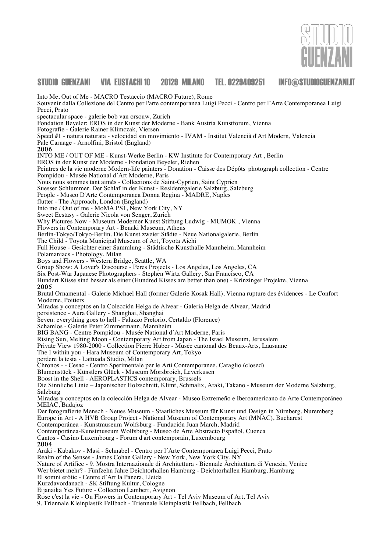

Into Me, Out of Me - MACRO Testaccio (MACRO Future), Rome Souvenir dalla Collezione del Centro per l'arte contemporanea Luigi Pecci - Centro per l´Arte Contemporanea Luigi Pecci, Prato spectacular space - galerie bob van orsouw, Zurich Fondation Beyeler: EROS in der Kunst der Moderne - Bank Austria Kunstforum, Vienna Fotografie - Galerie Rainer Klimczak, Viersen Speed #1 - natura naturata - velocidad sin movimiento - IVAM - Institut Valencià d'Art Modern, Valencia Pale Carnage - Arnolfini, Bristol (England) 2006 INTO ME / OUT OF ME - Kunst-Werke Berlin - KW Institute for Contemporary Art , Berlin EROS in der Kunst der Moderne - Fondation Beyeler, Riehen Peintres de la vie moderne Modern-life painters - Donation - Caisse des Dépôts' photograph collection - Centre Pompidou - Musée National d´Art Moderne, Paris Nous nous sommes tant aimés - Collections de Saint-Cyprien, Saint Cyprien Suesser Schlummer. Der Schlaf in der Kunst - Residenzgalerie Salzburg, Salzburg People - Museo D'Arte Contemporanea Donna Regina - MADRE, Naples flutter - The Approach, London (England) Into me / Out of me - MoMA PS1, New York City, NY Sweet Ecstasy - Galerie Nicola von Senger, Zurich Why Pictures Now - Museum Moderner Kunst Stiftung Ludwig - MUMOK , Vienna Flowers in Contemporary Art - Benaki Museum, Athens Berlin-Tokyo/Tokyo-Berlin. Die Kunst zweier Städte - Neue Nationalgalerie, Berlin The Child - Toyota Municipal Museum of Art, Toyota Aichi Full House - Gesichter einer Sammlung - Städtische Kunsthalle Mannheim, Mannheim Polamaniacs - Photology, Milan Boys and Flowers - Western Bridge, Seattle, WA Group Show: A Lover's Discourse - Peres Projects - Los Angeles, Los Angeles, CA Six Post-War Japanese Photographers - Stephen Wirtz Gallery, San Francisco, CA Hundert Küsse sind besser als einer (Hundred Kisses are better than one) - Krinzinger Projekte, Vienna 2005 Brutal Ornamental - Galerie Michael Hall (former Galerie Kosak Hall), Vienna rupture des évidences - Le Confort Moderne, Poitiers Miradas y conceptos en la Colección Helga de Alvear - Galeria Helga de Alvear, Madrid persistence - Aura Gallery - Shanghai, Shanghai Seven: everything goes to hell - Palazzo Pretorio, Certaldo (Florence) Schamlos - Galerie Peter Zimmermann, Mannheim BIG BANG - Centre Pompidou - Musée National d´Art Moderne, Paris Rising Sun, Melting Moon - Contemporary Art from Japan - The Israel Museum, Jerusalem Private View 1980-2000 - Collection Pierre Huber - Musée cantonal des Beaux-Arts, Lausanne The I within you - Hara Museum of Contemporary Art, Tokyo perdere la testa - Lattuada Studio, Milan Chronos - - Cesac - Centro Sperimentale per le Arti Contemporanee, Caraglio (closed) Blumenstück - Künstlers Glück - Museum Morsbroich, Leverkusen Boost in the Shell - AEROPLASTICS contemporary, Brussels Die Sinnliche Linie – Japanischer Holzschnitt, Klimt, Schmalix, Araki, Takano - Museum der Moderne Salzburg, Salzburg Miradas y conceptos en la colección Helga de Alvear - Museo Extremeño e Iberoamericano de Arte Contemporáneo MEIAC, Badajoz Der fotografierte Mensch - Neues Museum - Staatliches Museum für Kunst und Design in Nürnberg, Nuremberg Europe in Art - A HVB Group Project - National Museum of Contemporary Art (MNAC), Bucharest Contemporánea - Kunstmuseum Wolfsburg - Fundación Juan March, Madrid Contemporánea-Kunstmuseum Wolfsburg - Museo de Arte Abstracto Español, Cuenca Cantos - Casino Luxembourg - Forum d'art contemporain, Luxembourg 2004 Araki - Kabakov - Masi - Schnabel - Centro per l´Arte Contemporanea Luigi Pecci, Prato Realm of the Senses - James Cohan Gallery - New York, New York City, NY Nature of Artifice - 9. Mostra Internazionale di Architettura - Biennale Architettura di Venezia, Venice Wer bietet mehr? - Fünfzehn Jahre Deichtorhallen Hamburg - Deichtorhallen Hamburg, Hamburg El somni eròtic - Centre d'Art la Panera, Lleida Kurzdavordanach - SK Stiftung Kultur, Cologne Eijanaika Yes Future - Collection Lambert, Avignon Rose c'est la vie - On Flowers in Contemporary Art - Tel Aviv Museum of Art, Tel Aviv 9. Triennale Kleinplastik Fellbach - Triennale Kleinplastik Fellbach, Fellbach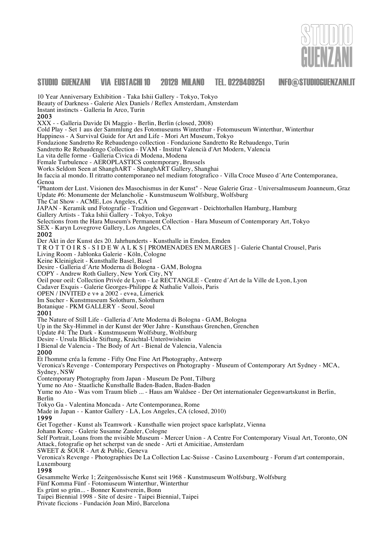

10 Year Anniversary Exhibition - Taka Ishii Gallery - Tokyo, Tokyo Beauty of Darkness - Galerie Alex Daniels / Reflex Amsterdam, Amsterdam Instant instincts - Galleria In Arco, Turin 2003 XXX - - Galleria Davide Di Maggio - Berlin, Berlin (closed, 2008) Cold Play - Set 1 aus der Sammlung des Fotomuseums Winterthur - Fotomuseum Winterthur, Winterthur Happiness - A Survival Guide for Art and Life - Mori Art Museum, Tokyo Fondazione Sandretto Re Rebaudengo collection - Fondazione Sandretto Re Rebaudengo, Turin Sandretto Re Rebaudengo Collection - IVAM - Institut Valencià d'Art Modern, Valencia La vita delle forme - Galleria Civica di Modena, Modena Female Turbulence - AEROPLASTICS contemporary, Brussels Works Seldom Seen at ShanghART - ShanghART Gallery, Shanghai In faccia al mondo. Il ritratto contemporaneo nel medium fotografico - Villa Croce Museo d´Arte Contemporanea, Genoa "Phantom der Lust. Visionen des Masochismus in der Kunst" - Neue Galerie Graz - Universalmuseum Joanneum, Graz Update #6: Monumente der Melancholie - Kunstmuseum Wolfsburg, Wolfsburg The Cat Show - ACME, Los Angeles, CA JAPAN - Keramik und Fotografie - Tradition und Gegenwart - Deichtorhallen Hamburg, Hamburg Gallery Artists - Taka Ishii Gallery - Tokyo, Tokyo Selections from the Hara Museum's Permanent Collection - Hara Museum of Contemporary Art, Tokyo SEX - Karyn Lovegrove Gallery, Los Angeles, CA 2002 Der Akt in der Kunst des 20. Jahrhunderts - Kunsthalle in Emden, Emden T R O T T O I R S - S I D E W A L K S [ PROMENADES EN MARGES ] - Galerie Chantal Crousel, Paris Living Room - Jablonka Galerie - Köln, Cologne Keine Kleinigkeit - Kunsthalle Basel, Basel Desire - Galleria d´Arte Moderna di Bologna - GAM, Bologna COPY - Andrew Roth Gallery, New York City, NY Oeil pour oeil: Collection Privée de Lyon - Le RECTANGLE - Centre d´Art de la Ville de Lyon, Lyon Cadaver Exquis - Galerie Georges-Philippe & Nathalie Vallois, Paris OPEN / INVITED e v+ a 2002 - ev+a, Limerick Im Sucher - Kunstmuseum Solothurn, Solothurn Botanique - PKM GALLERY - Seoul, Seoul 2001 The Nature of Still Life - Galleria d´Arte Moderna di Bologna - GAM, Bologna Up in the Sky-Himmel in der Kunst der 90er Jahre - Kunsthaus Grenchen, Grenchen Update #4: The Dark - Kunstmuseum Wolfsburg, Wolfsburg Desire - Ursula Blickle Stiftung, Kraichtal-Unteröwisheim I Bienal de Valencia - The Body of Art - Bienal de Valencia, Valencia 2000 Et l'homme créa la femme - Fifty One Fine Art Photography, Antwerp Veronica's Revenge - Contemporary Perspectives on Photography - Museum of Contemporary Art Sydney - MCA, Sydney, NSW Contemporary Photography from Japan - Museum De Pont, Tilburg Yume no Ato - Staatliche Kunsthalle Baden-Baden, Baden-Baden Yume no Ato - Was vom Traum blieb ... - Haus am Waldsee - Der Ort internationaler Gegenwartskunst in Berlin, Berlin Tokyo Ga - Valentina Moncada - Arte Contemporanea, Rome Made in Japan - - Kantor Gallery - LA, Los Angeles, CA (closed, 2010) 1999 Get Together - Kunst als Teamwork - Kunsthalle wien project space karlsplatz, Vienna Johann Korec - Galerie Susanne Zander, Cologne Self Portrait, Loans from the nvisible Museum - Mercer Union - A Centre For Contemporary Visual Art, Toronto, ON Attack, fotografie op het scherpst van de snede - Arti et Amicitiae, Amsterdam SWEET & SOUR - Art & Public, Geneva Veronica's Revenge - Photographies De La Collection Lac-Suisse - Casino Luxembourg - Forum d'art contemporain, Luxembourg 1998 Gesammelte Werke 1; Zeitgenössische Kunst seit 1968 - Kunstmuseum Wolfsburg, Wolfsburg Fünf Komma Fünf - Fotomuseum Winterthur, Winterthur Es grünt so grün... - Bonner Kunstverein, Bonn Taipei Biennial 1998 - Site of desire - Taipei Biennial, Taipei Private ficcions - Fundación Joan Miró, Barcelona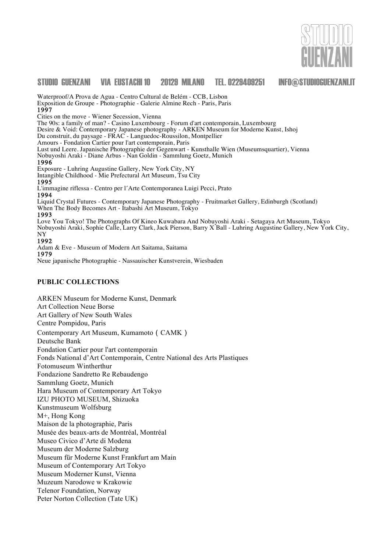

Waterproof/A Prova de Agua - Centro Cultural de Belém - CCB, Lisbon Exposition de Groupe - Photographie - Galerie Almine Rech - Paris, Paris 1997 Cities on the move - Wiener Secession, Vienna The 90s: a family of man? - Casino Luxembourg - Forum d'art contemporain, Luxembourg Desire & Void: Contemporary Japanese photography - ARKEN Museum for Moderne Kunst, Ishoj Du construit, du paysage - FRAC - Languedoc-Roussilon, Montpellier Amours - Fondation Cartier pour l'art contemporain, Paris Lust und Leere. Japanische Photographie der Gegenwart - Kunsthalle Wien (Museumsquartier), Vienna Nobuyoshi Araki - Diane Arbus - Nan Goldin - Sammlung Goetz, Munich Exposure - Luhring Augustine Gallery, New York City, NY Intangible Childhood - Mie Prefectural Art Museum, Tsu City L'immagine riflessa - Centro per l'Arte Contemporanea Luigi Pecci, Prato 1994 Liquid Crystal Futures - Contemporary Japanese Photography - Fruitmarket Gallery, Edinburgh (Scotland) When The Body Becomes Art - Itabashi Art Museum, Tokyo 1993 Love You Tokyo! The Photographs Of Kineo Kuwabara And Nobuyoshi Araki - Setagaya Art Museum, Tokyo Nobuyoshi Araki, Sophie Calle, Larry Clark, Jack Pierson, Barry X Ball - Luhring Augustine Gallery, New York City, NY 1992 Adam & Eve - Museum of Modern Art Saitama, Saitama 1979

Neue japanische Photographie - Nassauischer Kunstverein, Wiesbaden

### **PUBLIC COLLECTIONS**

ARKEN Museum for Moderne Kunst, Denmark Art Collection Neue Borse Art Gallery of New South Wales Centre Pompidou, Paris Contemporary Art Museum, Kumamoto(CAMK) Deutsche Bank Fondation Cartier pour l'art contemporain Fonds National d'Art Contemporain, Centre National des Arts Plastiques Fotomuseum Wintherthur Fondazione Sandretto Re Rebaudengo Sammlung Goetz, Munich Hara Museum of Contemporary Art Tokyo IZU PHOTO MUSEUM, Shizuoka Kunstmuseum Wolfsburg M+, Hong Kong Maison de la photographie, Paris Musée des beaux-arts de Montréal, Montréal Museo Civico d'Arte di Modena Museum der Moderne Salzburg Museum für Moderne Kunst Frankfurt am Main Museum of Contemporary Art Tokyo Museum Moderner Kunst, Vienna Muzeum Narodowe w Krakowie Telenor Foundation, Norway Peter Norton Collection (Tate UK)